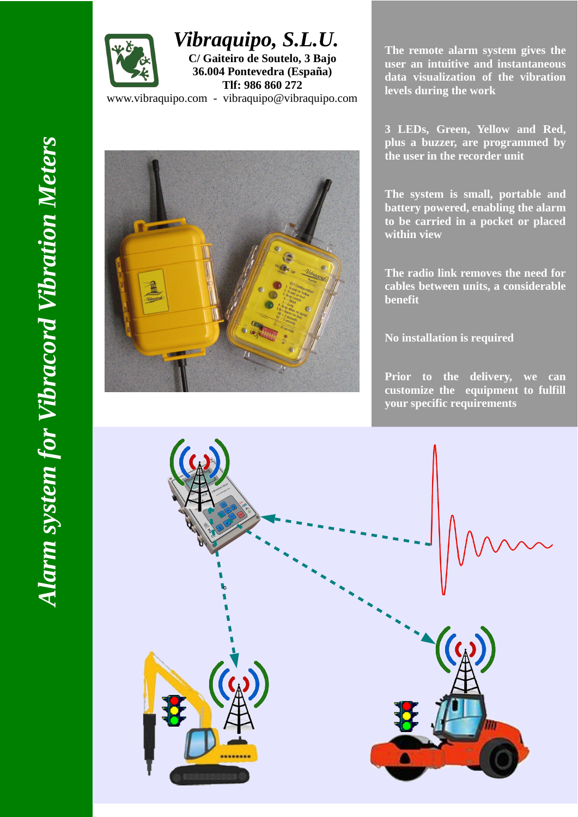

*Vibraquipo, S.L.U.*  **C/ Gaiteiro de Soutelo, 3 Bajo**

**36.004 Pontevedra (España) Tlf: 986 860 272**

www.vibraquipo.com - vibraquipo@vibraquipo.com

**The remote alarm system gives the user an intuitive and instantaneous data visualization of the vibration levels during the work**

**3 LEDs, Green, Yellow and Red, plus a buzzer, are programmed by the user in the recorder unit**

**The system is small, portable and battery powered, enabling the alarm to be carried in a pocket or placed within view**

**The radio link removes the need for cables between units, a considerable benefit**

**No installation is required**

**Prior to the delivery, we can customize the equipment to fulfill your specific requirements**